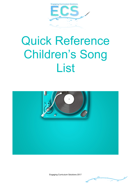

# Quick Reference Children's Song List



Engaging Curriculum Solutions 2017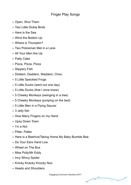## Finger Play Songs

- Open, Shut Them
- Two Little Dickie Birds
- Here is the Sea
- Wind the Bobbin Up
- Where is Thumpkin?
- Two Policeman Met in a Lane
- All Your Men Are Up
- Patty Cake
- Pizza, Pizza, Pizza
- Slippery Fish
- Diddem, Daddem, Waddem, Choo.
- 5 Little Speckled Frogs
- 5 Little Ducks (went out one day)
- 5 Little Ducks (that I once knew)
- 5 Cheeky Monkeys (swinging in a tree)
- 5 Cheeky Monkeys (jumping on the bed)
- 5 Little Men in a Flying Saucer
- 3 Jelly fish
- How Many Fingers on my Hand
- Upsy Down Town
- I'm a Nut
- Pitter, Patter
- Here is a Beehive/Taking Home My Baby Bumble Bee
- Do Your Ears Hand Low
- Wheel on The Bus
- Miss Polly/Mr Eddy
- Incy Wincy Spider
- Knicky Knacky Knocky Noo
- Heads and Shoulders

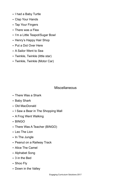- I had a Baby Turtle
- Clap Your Hands
- Tap Your Fingers
- There was a Flea
- I'm a Little Teapot/Sugar Bowl
- Henry's Happy Hair Shop
- Put a Dot Over Here
- A Sailor Went to Sea
- Twinkle, Twinkle (little star)
- Twinkle, Twinkle (Motor Car)

#### Miscellaneous

- There Was a Shark
- Baby Shark
- Old MacDonald
- I Saw a Bear in The Shopping Mall
- A Frog Went Walking
- BINGO
- There Was A Teacher (BINGO)
- Leo The Lion
- In The Jungle
- Peanut on a Railway Track
- Alice The Camel
- Alphabet Song
- 3 in the Bed
- Shoo Fly
- Down in the Valley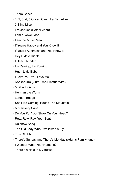- Them Bones
- 1, 2, 3, 4, 5 Once I Caught a Fish Alive
- 3 Blind Mice
- Fre Jaques (Bother John)
- I am a Vowel Man
- I am the Music Man
- If You're Happy and You Know It
- If You're Australian and You Know It
- Hey Diddle Diddle
- I Hear Thunder
- It's Raining, It's Pouring
- Hush Little Baby
- I Love You, You Love Me
- Kookaburra (Gum Tree/Electric Wire)
- 5 Little Indians
- Herman the Worm
- London Bridge
- She'll Be Coming 'Round The Mountain
- Mr Clickety Cane
- Do You Put Your Show On Your Head?
- Row, Row, Row Your Boat
- Rainbow Song
- The Old Lady Who Swallowed a Fly
- This Old Man
- There's Sunday and There's Monday (Adams Family tune)
- I Wonder What Your Name Is?
- There's a Hole in My Bucket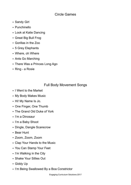### Circle Games

- Sandy Girl
- Punchinello
- Look at Katie Dancing
- Great Big Bull Frog
- Gorillas in the Zoo
- 5 Grey Elephants
- Where, oh Where
- Ants Go Marching
- There Was a Princes Long Ago
- Ring a Rosie

## Full Body Movement Songs

- I Went to the Market
- My Body Makes Music
- Hi! My Name Is Jo.
- One Finger, One Thumb
- The Grand Old Duke of York
- I'm a Dinosaur
- I'm a Baby Shoot
- Dingle, Dangle Scarecrow
- Bear Hunt
- Zoom, Zoom, Zoom
- Clap Your Hands to the Music
- You Can Stamp Your Feet
- I'm Walking in the City
- Shake Your Sillies Out
- Giddy Up
- I'm Being Swallowed By a Boa Constrictor